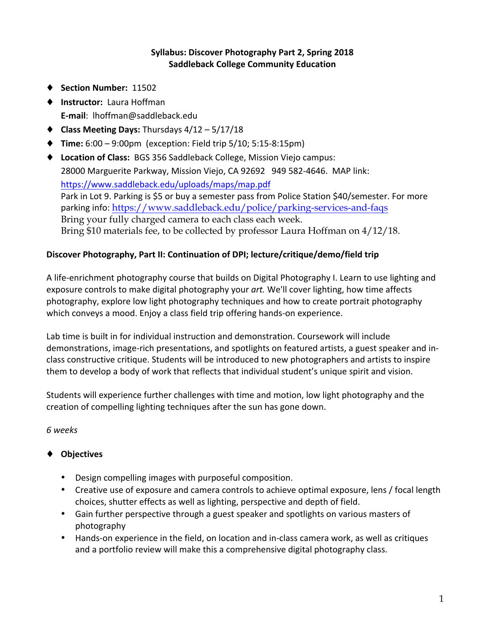#### **Syllabus: Discover Photography Part 2, Spring 2018 Saddleback College Community Education**

- ◆ Section Number: 11502
- ♦ **Instructor:** Laura Hoffman **E-mail**: lhoffman@saddleback.edu
- ◆ **Class Meeting Days:** Thursdays 4/12 5/17/18
- ◆ **Time:** 6:00 9:00pm (exception: Field trip 5/10; 5:15-8:15pm)
- ◆ Location of Class: BGS 356 Saddleback College, Mission Viejo campus: 28000 Marguerite Parkway, Mission Viejo, CA 92692 949 582-4646. MAP link: https://www.saddleback.edu/uploads/maps/map.pdf Park in Lot 9. Parking is \$5 or buy a semester pass from Police Station \$40/semester. For more parking info: https://www.saddleback.edu/police/parking-services-and-faqs Bring your fully charged camera to each class each week. Bring \$10 materials fee, to be collected by professor Laura Hoffman on 4/12/18.

#### Discover Photography, Part II: Continuation of DPI; lecture/critique/demo/field trip

A life-enrichment photography course that builds on Digital Photography I. Learn to use lighting and exposure controls to make digital photography your art. We'll cover lighting, how time affects photography, explore low light photography techniques and how to create portrait photography which conveys a mood. Enjoy a class field trip offering hands-on experience.

Lab time is built in for individual instruction and demonstration. Coursework will include demonstrations, image-rich presentations, and spotlights on featured artists, a guest speaker and inclass constructive critique. Students will be introduced to new photographers and artists to inspire them to develop a body of work that reflects that individual student's unique spirit and vision.

Students will experience further challenges with time and motion, low light photography and the creation of compelling lighting techniques after the sun has gone down.

*6 weeks*

#### ♦ **Objectives**

- Design compelling images with purposeful composition.
- Creative use of exposure and camera controls to achieve optimal exposure, lens / focal length choices, shutter effects as well as lighting, perspective and depth of field.
- Gain further perspective through a guest speaker and spotlights on various masters of photography
- Hands-on experience in the field, on location and in-class camera work, as well as critiques and a portfolio review will make this a comprehensive digital photography class.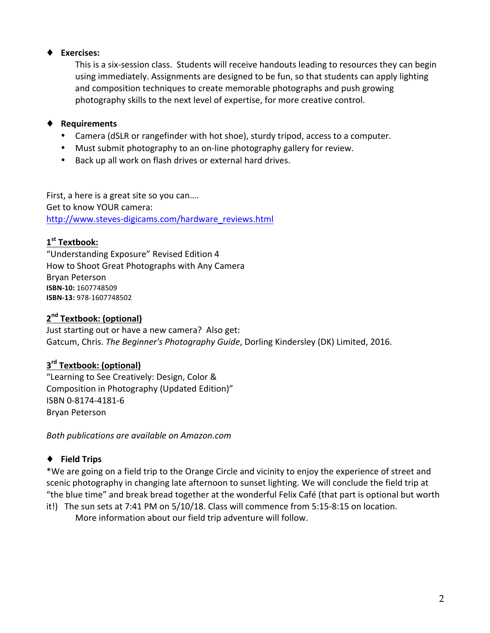### ♦ **Exercises:**

This is a six-session class. Students will receive handouts leading to resources they can begin using immediately. Assignments are designed to be fun, so that students can apply lighting and composition techniques to create memorable photographs and push growing photography skills to the next level of expertise, for more creative control.

### ♦ **Requirements**

- Camera (dSLR or rangefinder with hot shoe), sturdy tripod, access to a computer.
- Must submit photography to an on-line photography gallery for review.
- Back up all work on flash drives or external hard drives.

First, a here is a great site so you can.... Get to know YOUR camera: http://www.steves-digicams.com/hardware\_reviews.html

### 1<sup>st</sup> Textbook:

"Understanding Exposure" Revised Edition 4 How to Shoot Great Photographs with Any Camera Bryan Peterson **ISBN-10:** 1607748509 **ISBN-13:** 978-1607748502

# **2nd Textbook: (optional)**

Just starting out or have a new camera? Also get: Gatcum, Chris. The Beginner's Photography Guide, Dorling Kindersley (DK) Limited, 2016.

# **3rd Textbook: (optional)**

"Learning to See Creatively: Design, Color & Composition in Photography (Updated Edition)" ISBN 0-8174-4181-6 Bryan Peterson

*Both publications are available on Amazon.com*

### ♦ **Field Trips**

\*We are going on a field trip to the Orange Circle and vicinity to enjoy the experience of street and scenic photography in changing late afternoon to sunset lighting. We will conclude the field trip at "the blue time" and break bread together at the wonderful Felix Café (that part is optional but worth

it!) The sun sets at 7:41 PM on 5/10/18. Class will commence from 5:15-8:15 on location. More information about our field trip adventure will follow.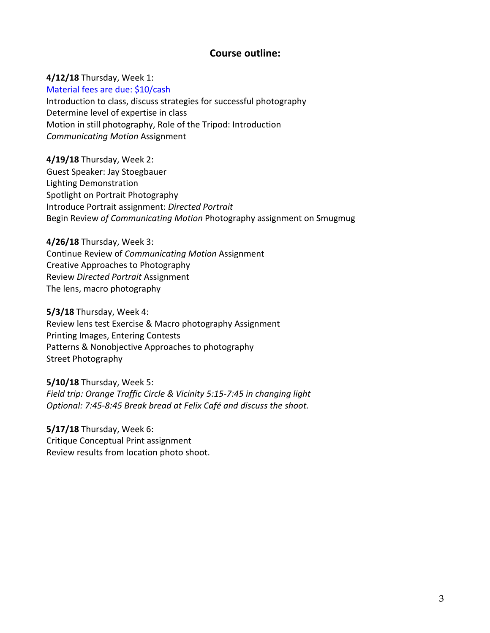#### **Course outline:**

**4/12/18** Thursday, Week 1: Material fees are due: \$10/cash Introduction to class, discuss strategies for successful photography Determine level of expertise in class Motion in still photography, Role of the Tripod: Introduction *Communicating Motion* Assignment

**4/19/18** Thursday, Week 2: Guest Speaker: Jay Stoegbauer Lighting Demonstration Spotlight on Portrait Photography Introduce Portrait assignment: *Directed Portrait* Begin Review of Communicating Motion Photography assignment on Smugmug

**4/26/18** Thursday, Week 3: Continue Review of *Communicating Motion* Assignment Creative Approaches to Photography Review *Directed Portrait* Assignment The lens, macro photography

**5/3/18** Thursday, Week 4: Review lens test Exercise & Macro photography Assignment Printing Images, Entering Contests Patterns & Nonobjective Approaches to photography Street Photography

**5/10/18** Thursday, Week 5: *Field trip: Orange Traffic Circle & Vicinity 5:15-7:45 in changing light Optional: 7:45-8:45 Break bread at Felix Café and discuss the shoot.*

**5/17/18** Thursday, Week 6: Critique Conceptual Print assignment Review results from location photo shoot.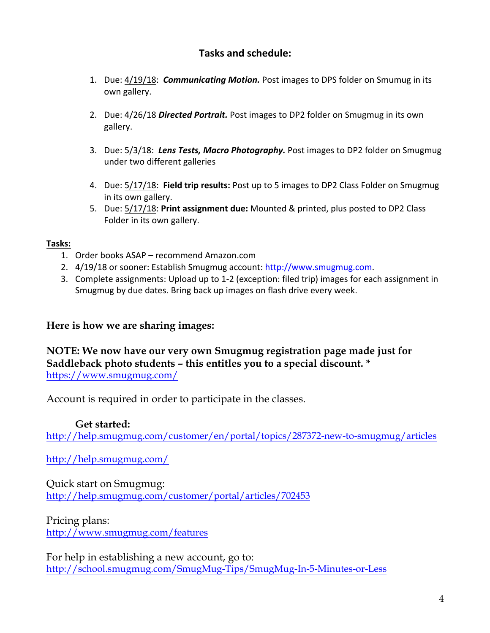# **Tasks and schedule:**

- 1. Due: 4/19/18: *Communicating Motion.* Post images to DPS folder on Smumug in its own gallery.
- 2. Due: 4/26/18 *Directed Portrait.* Post images to DP2 folder on Smugmug in its own gallery.
- 3. Due: 5/3/18: Lens Tests, Macro Photography. Post images to DP2 folder on Smugmug under two different galleries
- 4. Due:  $5/17/18$ : Field trip results: Post up to 5 images to DP2 Class Folder on Smugmug in its own gallery.
- 5. Due:  $5/17/18$ : Print assignment due: Mounted & printed, plus posted to DP2 Class Folder in its own gallery.

### **Tasks:**

- 1. Order books ASAP recommend Amazon.com
- 2. 4/19/18 or sooner: Establish Smugmug account: http://www.smugmug.com.
- 3. Complete assignments: Upload up to 1-2 (exception: filed trip) images for each assignment in Smugmug by due dates. Bring back up images on flash drive every week.

# **Here is how we are sharing images:**

### **NOTE: We now have our very own Smugmug registration page made just for Saddleback photo students – this entitles you to a special discount. \*** https://www.smugmug.com/

Account is required in order to participate in the classes.

# **Get started:**

http://help.smugmug.com/customer/en/portal/topics/287372-new-to-smugmug/articles

http://help.smugmug.com/

Quick start on Smugmug: http://help.smugmug.com/customer/portal/articles/702453

Pricing plans: http://www.smugmug.com/features

For help in establishing a new account, go to: http://school.smugmug.com/SmugMug-Tips/SmugMug-In-5-Minutes-or-Less